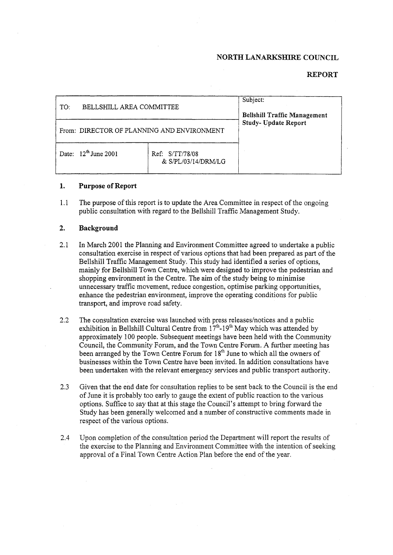### **NORTH LANARKSHIRE COUNCIL**

## **REPORT**

| BELLSHILL AREA COMMITTEE<br>TO:            |                                        | Subject:<br><b>Bellshill Traffic Management</b><br>Study- Update Report |
|--------------------------------------------|----------------------------------------|-------------------------------------------------------------------------|
| From: DIRECTOR OF PLANNING AND ENVIRONMENT |                                        |                                                                         |
| Date: $12^{th}$ June 2001                  | Ref: S/TT/78/08<br>& S/PL/03/14/DRM/LG |                                                                         |

#### **1. Purpose of Report**

1.1 The purpose of this report is to update the Area Committee in respect of the ongoing public consultation with regard to the Bellshill Traffic Management Study.

#### **2. Background**

- 2.1 In March 2001 the Planning and Environment Committee agreed to undertake a public consultation exercise in respect of various options that had been prepared as part of the Bellshill Traffic Management Study. This study had identified a series of options, mainly for Bellshill Town Centre, which were designed to improve the pedestrian and shopping environment in the Centre. The aim of the study being to minimise unnecessary traffic movement, reduce congestion, optimise parking opportunities, enhance the pedestrian environment, improve the operating conditions for public transport, and improve road safety.
- *2.2*  The consultation exercise was launched with press releases/notices and a public exhibition in Bellshill Cultural Centre from  $17<sup>th</sup>$ -19<sup>th</sup> May which was attended by approximately 100 people. Subsequent meetings have been held with the Community Council, the Community Forum, and the Town Centre Forum. **A** further meeting has been arranged by the Town Centre Forum for  $18<sup>th</sup>$  June to which all the owners of businesses within the Town Centre have been invited. In addition consultations have been undertaken with the relevant emergency services and public transport authority.
- 2.3 Given that the end date for consultation replies to be sent back to the Council is the end of June it is probably too early to gauge the extent of public reaction to the various options. Suffice to say that at this stage the Council's attempt to bring forward the Study has been generally welcomed and a number of constructive comments made in respect of the various options.
- 2.4 Upon completion of the consultation period the Department will report the results of the exercise to the Planning and Environment Committee with the intention of seeking approval of a Final Town Centre Action Plan before the end of the year.